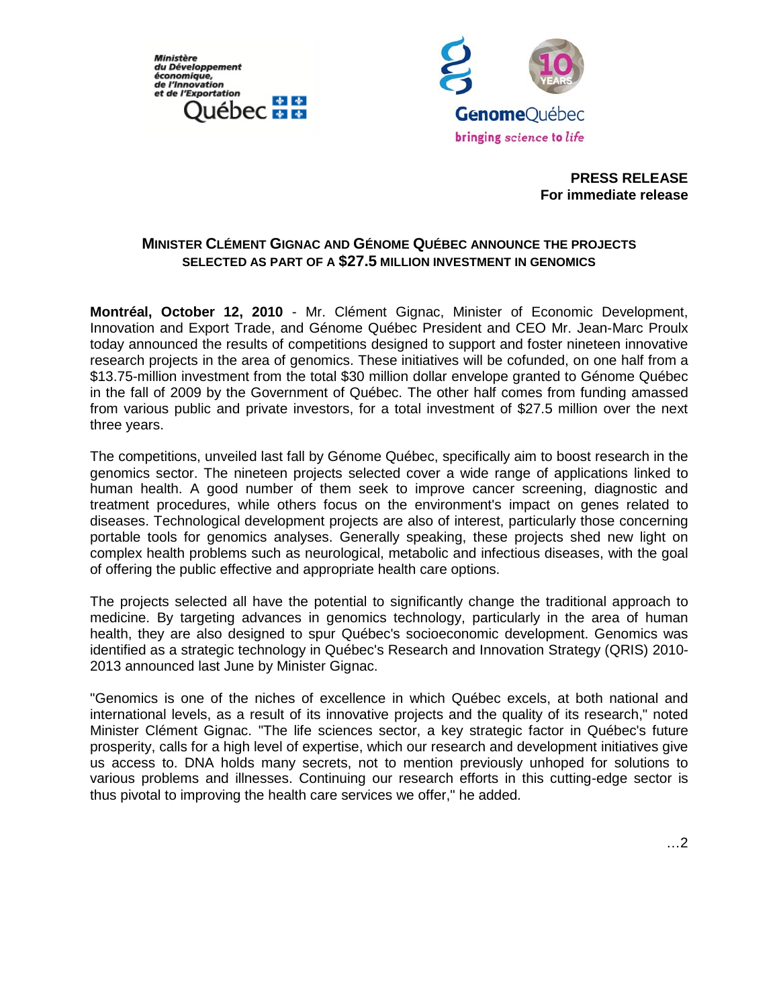**Ministère** du Développement économique,<br>de l'Innovation et de l'Exportation 中華 uébec **##** 



**PRESS RELEASE For immediate release**

# **MINISTER CLÉMENT GIGNAC AND GÉNOME QUÉBEC ANNOUNCE THE PROJECTS SELECTED AS PART OF A \$27.5 MILLION INVESTMENT IN GENOMICS**

**Montréal, October 12, 2010** - Mr. Clément Gignac, Minister of Economic Development, Innovation and Export Trade, and Génome Québec President and CEO Mr. Jean-Marc Proulx today announced the results of competitions designed to support and foster nineteen innovative research projects in the area of genomics. These initiatives will be cofunded, on one half from a \$13.75-million investment from the total \$30 million dollar envelope granted to Génome Québec in the fall of 2009 by the Government of Québec. The other half comes from funding amassed from various public and private investors, for a total investment of \$27.5 million over the next three years.

The competitions, unveiled last fall by Génome Québec, specifically aim to boost research in the genomics sector. The nineteen projects selected cover a wide range of applications linked to human health. A good number of them seek to improve cancer screening, diagnostic and treatment procedures, while others focus on the environment's impact on genes related to diseases. Technological development projects are also of interest, particularly those concerning portable tools for genomics analyses. Generally speaking, these projects shed new light on complex health problems such as neurological, metabolic and infectious diseases, with the goal of offering the public effective and appropriate health care options.

The projects selected all have the potential to significantly change the traditional approach to medicine. By targeting advances in genomics technology, particularly in the area of human health, they are also designed to spur Québec's socioeconomic development. Genomics was identified as a strategic technology in Québec's Research and Innovation Strategy (QRIS) 2010- 2013 announced last June by Minister Gignac.

"Genomics is one of the niches of excellence in which Québec excels, at both national and international levels, as a result of its innovative projects and the quality of its research," noted Minister Clément Gignac. "The life sciences sector, a key strategic factor in Québec's future prosperity, calls for a high level of expertise, which our research and development initiatives give us access to. DNA holds many secrets, not to mention previously unhoped for solutions to various problems and illnesses. Continuing our research efforts in this cutting-edge sector is thus pivotal to improving the health care services we offer," he added.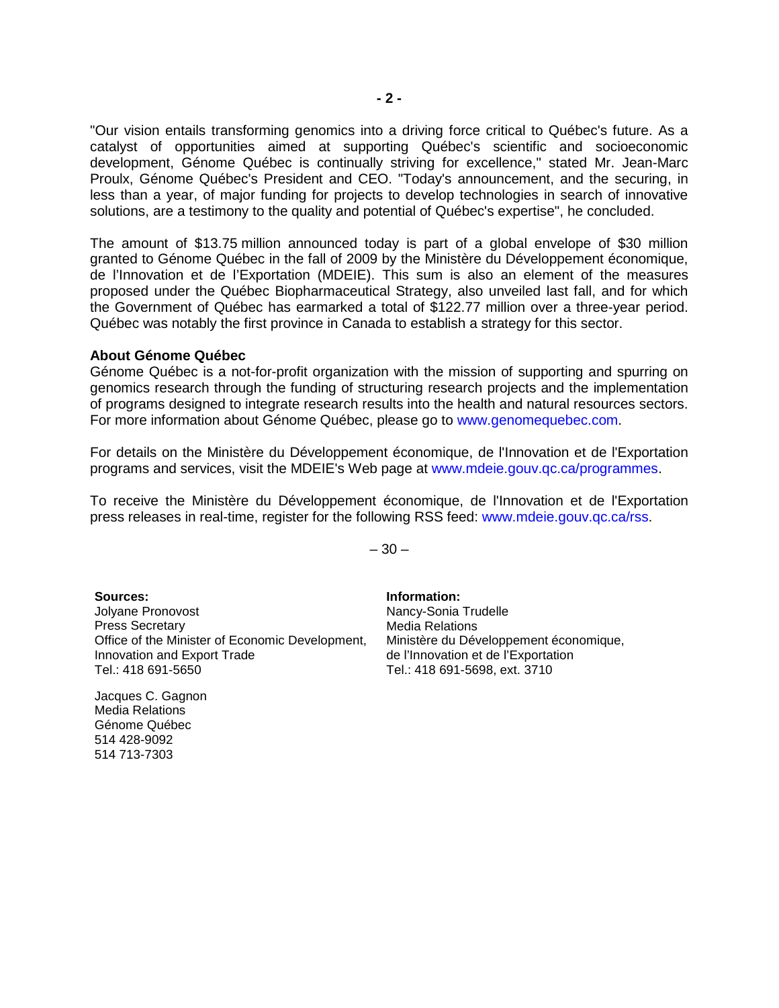"Our vision entails transforming genomics into a driving force critical to Québec's future. As a catalyst of opportunities aimed at supporting Québec's scientific and socioeconomic development, Génome Québec is continually striving for excellence," stated Mr. Jean-Marc Proulx, Génome Québec's President and CEO. "Today's announcement, and the securing, in less than a year, of major funding for projects to develop technologies in search of innovative solutions, are a testimony to the quality and potential of Québec's expertise", he concluded.

The amount of \$13.75 million announced today is part of a global envelope of \$30 million granted to Génome Québec in the fall of 2009 by the Ministère du Développement économique, de l'Innovation et de l'Exportation (MDEIE). This sum is also an element of the measures proposed under the Québec Biopharmaceutical Strategy, also unveiled last fall, and for which the Government of Québec has earmarked a total of \$122.77 million over a three-year period. Québec was notably the first province in Canada to establish a strategy for this sector.

### **About Génome Québec**

Génome Québec is a not-for-profit organization with the mission of supporting and spurring on genomics research through the funding of structuring research projects and the implementation of programs designed to integrate research results into the health and natural resources sectors. For more information about Génome Québec, please go to www.genomequebec.com.

For details on the Ministère du Développement économique, de l'Innovation et de l'Exportation programs and services, visit the MDEIE's Web page at www.mdeie.gouv.qc.ca/programmes.

To receive the Ministère du Développement économique, de l'Innovation et de l'Exportation press releases in real-time, register for the following RSS feed: www.mdeie.gouv.qc.ca/rss.

 $-30-$ 

**Sources:** Jolyane Pronovost Press Secretary Office of the Minister of Economic Development, Innovation and Export Trade Tel.: 418 691-5650

Jacques C. Gagnon Media Relations Génome Québec 514 428-9092 514 713-7303

**Information:** Nancy-Sonia Trudelle Media Relations Ministère du Développement économique, de l'Innovation et de l'Exportation Tel.: 418 691-5698, ext. 3710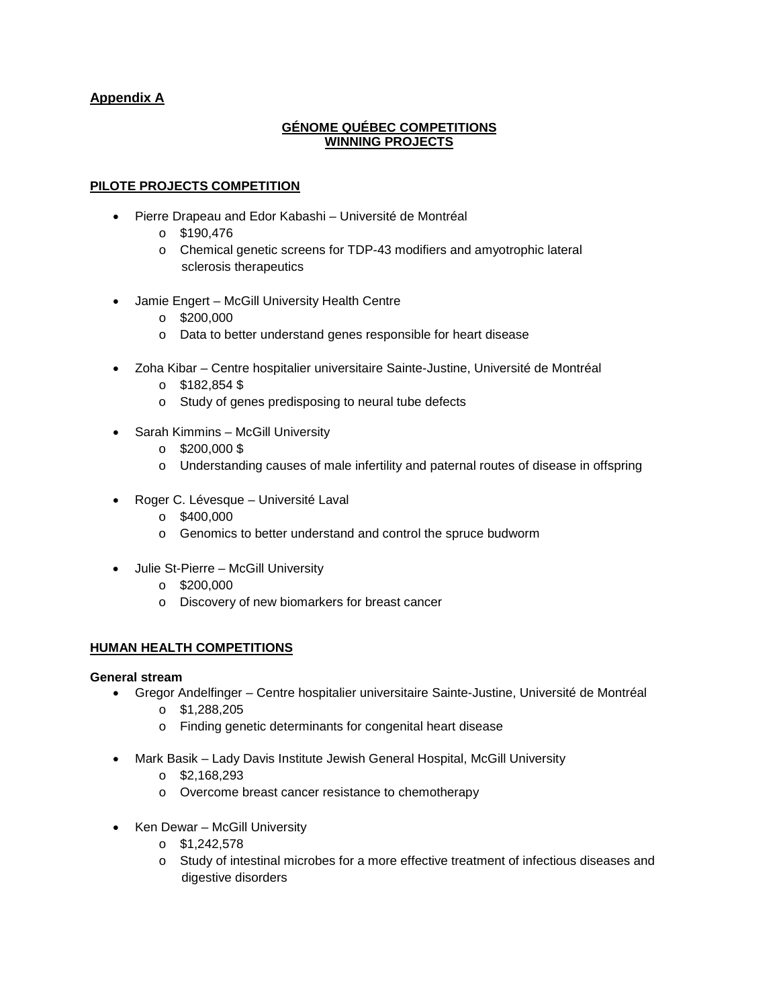# **Appendix A**

## **GÉNOME QUÉBEC COMPETITIONS WINNING PROJECTS**

# **PILOTE PROJECTS COMPETITION**

- Pierre Drapeau and Edor Kabashi Université de Montréal
	- o \$190,476
	- o Chemical genetic screens for TDP-43 modifiers and amyotrophic lateral sclerosis therapeutics
- Jamie Engert McGill University Health Centre
	- $\circ$  \$200,000
	- o Data to better understand genes responsible for heart disease
- Zoha Kibar Centre hospitalier universitaire Sainte-Justine, Université de Montréal
	- $\circ$  \$182,854 \$
	- o Study of genes predisposing to neural tube defects
- Sarah Kimmins McGill University
	- $\circ$  \$200,000\$
	- o Understanding causes of male infertility and paternal routes of disease in offspring
- Roger C. Lévesque Université Laval
	- $\circ$  \$400,000
	- o Genomics to better understand and control the spruce budworm
- Julie St-Pierre McGill University
	- o \$200,000
	- o Discovery of new biomarkers for breast cancer

## **HUMAN HEALTH COMPETITIONS**

### **General stream**

- Gregor Andelfinger Centre hospitalier universitaire Sainte-Justine, Université de Montréal
	- o \$1,288,205
	- o Finding genetic determinants for congenital heart disease
	- Mark Basik Lady Davis Institute Jewish General Hospital, McGill University
		- o \$2,168,293
		- o Overcome breast cancer resistance to chemotherapy
- Ken Dewar McGill University
	- o \$1,242,578
	- o Study of intestinal microbes for a more effective treatment of infectious diseases and digestive disorders